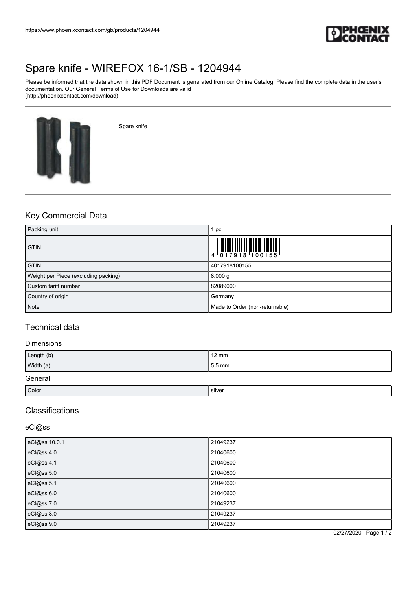

# [Spare knife - WIREFOX 16-1/SB - 1204944](https://www.phoenixcontact.com/gb/products/1204944)

Please be informed that the data shown in this PDF Document is generated from our Online Catalog. Please find the complete data in the user's documentation. Our General Terms of Use for Downloads are valid (http://phoenixcontact.com/download)



Spare knife

# Key Commercial Data

| Packing unit                         | pc                                                                                                                                                                                                                                                                                                                        |
|--------------------------------------|---------------------------------------------------------------------------------------------------------------------------------------------------------------------------------------------------------------------------------------------------------------------------------------------------------------------------|
| <b>GTIN</b>                          | $\begin{array}{c} 1 & 0 & 0 & 0 & 0 \\ 0 & 1 & 0 & 0 & 0 & 0 \\ 0 & 0 & 1 & 0 & 0 & 0 \\ 0 & 0 & 0 & 0 & 0 & 0 \\ 0 & 0 & 0 & 0 & 0 & 0 \\ 0 & 0 & 0 & 0 & 0 & 0 \\ 0 & 0 & 0 & 0 & 0 & 0 \\ 0 & 0 & 0 & 0 & 0 & 0 \\ 0 & 0 & 0 & 0 & 0 & 0 & 0 \\ 0 & 0 & 0 & 0 & 0 & 0 & 0 \\ 0 & 0 & 0 & 0 & 0 & 0 & 0 \\ 0 & 0 & 0 &$ |
| <b>GTIN</b>                          | 4017918100155                                                                                                                                                                                                                                                                                                             |
| Weight per Piece (excluding packing) | 8.000 g                                                                                                                                                                                                                                                                                                                   |
| Custom tariff number                 | 82089000                                                                                                                                                                                                                                                                                                                  |
| Country of origin                    | Germany                                                                                                                                                                                                                                                                                                                   |
| <b>Note</b>                          | Made to Order (non-returnable)                                                                                                                                                                                                                                                                                            |

### Technical data

### Dimensions

| Length (b) | $12 \text{ mm}$ |
|------------|-----------------|
| Width (a)  | 5.5 mm          |
| General    |                 |

| Color | silver |
|-------|--------|
|       |        |

# Classifications

### eCl@ss

| eCl@ss 10.0.1      | 21049237 |
|--------------------|----------|
| eCl@ss 4.0         | 21040600 |
| eCl@ss 4.1         | 21040600 |
| eCl@ss 5.0         | 21040600 |
| eCl@ss 5.1         | 21040600 |
| eCl@ss 6.0         | 21040600 |
| eCl@ss 7.0         | 21049237 |
| $c \cdot \cos 8.0$ | 21049237 |
| eCl@ss 9.0         | 21049237 |

02/27/2020 Page 1 / 2